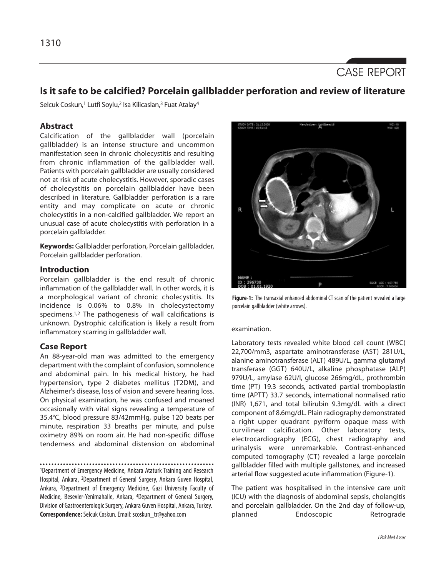

# **Is it safe to be calcified? Porcelain gallbladder perforation and review of literature**

Selcuk Coskun,<sup>1</sup> Lutfi Soylu,<sup>2</sup> Isa Kilicaslan,<sup>3</sup> Fuat Atalay<sup>4</sup>

## **Abstract**

Calcification of the gallbladder wall (porcelain gallbladder) is an intense structure and uncommon manifestation seen in chronic cholecystitis and resulting from chronic inflammation of the gallbladder wall. Patients with porcelain gallbladder are usually considered not at risk of acute cholecystitis. However, sporadic cases of cholecystitis on porcelain gallbladder have been described in literature. Gallbladder perforation is a rare entity and may complicate on acute or chronic cholecystitis in a non-calcified gallbladder. We report an unusual case of acute cholecystitis with perforation in a porcelain gallbladder.

**Keywords:** Gallbladder perforation, Porcelain gallbladder, Porcelain gallbladder perforation.

## **Introduction**

Porcelain gallbladder is the end result of chronic inflammation of the gallbladder wall. In other words, it is a morphological variant of chronic cholecystitis. Its incidence is 0.06% to 0.8% in cholecystectomy specimens.<sup>1,2</sup> The pathogenesis of wall calcifications is unknown. Dystrophic calcification is likely a result from inflammatory scarring in gallbladder wall.

## **Case Report**

An 88-year-old man was admitted to the emergency department with the complaint of confusion, somnolence and abdominal pain. In his medical history, he had hypertension, type 2 diabetes mellitus (T2DM), and Alzheimer's disease, loss of vision and severe hearing loss. On physical examination, he was confused and moaned occasionally with vital signs revealing a temperature of 35.4°C, blood pressure 83/42mmHg, pulse 120 beats per minute, respiration 33 breaths per minute, and pulse oximetry 89% on room air. He had non-specific diffuse tenderness and abdominal distension on abdominal

<sup>1</sup>Department of Emergency Medicine, Ankara Ataturk Training and Research Hospital, Ankara, 2Department of General Surgery, Ankara Guven Hospital, Ankara, <sup>3</sup>Department of Emergency Medicine, Gazi University Faculty of Medicine, Besevler-Yenimahalle, Ankara, <sup>4</sup>Department of General Surgery, Division of Gastroenterologic Surgery, Ankara Guven Hospital, Ankara, Turkey. **Correspondence:**Selcuk Coskun. Email: scoskun\_tr@yahoo.com



**Figure-1:** The transaxial enhanced abdominal CT scan of the patient revealed a large porcelain gallbladder (white arrows).

### examination.

Laboratory tests revealed white blood cell count (WBC) 22,700/mm3, aspartate aminotransferase (AST) 281U/L, alanine aminotransferase (ALT) 489U/L, gamma glutamyl transferase (GGT) 640U/L, alkaline phosphatase (ALP) 979U/L, amylase 62U/l, glucose 266mg/dL, prothrombin time (PT) 19.3 seconds, activated partial tromboplastin time (APTT) 33.7 seconds, international normalised ratio (INR) 1,671, and total bilirubin 9.3mg/dL with a direct component of 8.6mg/dL. Plain radiography demonstrated a right upper quadrant pyriform opaque mass with curvilinear calcification. Other laboratory tests, electrocardiography (ECG), chest radiography and urinalysis were unremarkable. Contrast-enhanced computed tomography (CT) revealed a large porcelain gallbladder filled with multiple gallstones, and increased arterial flow suggested acute inflammation (Figure-1).

The patient was hospitalised in the intensive care unit (ICU) with the diagnosis of abdominal sepsis, cholangitis and porcelain gallbladder. On the 2nd day of follow-up, planned Endoscopic Retrograde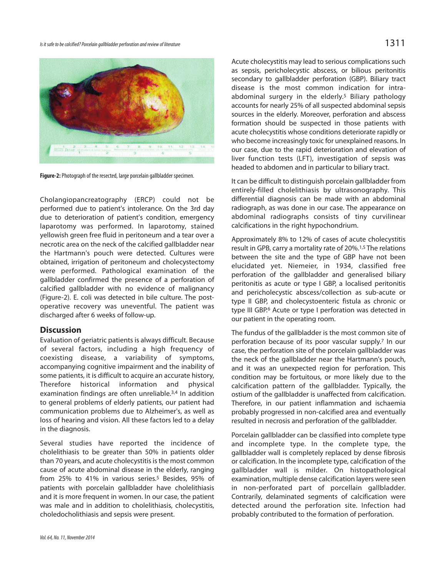

**Figure-2:** Photograph of the resected, large porcelain gallbladder specimen.

Cholangiopancreatography (ERCP) could not be performed due to patient's intolerance. On the 3rd day due to deterioration of patient's condition, emergency laparotomy was performed. In laparotomy, stained yellowish green free fluid in peritoneum and a tear over a necrotic area on the neck of the calcified gallbladder near the Hartmann's pouch were detected. Cultures were obtained, irrigation of peritoneum and cholecystectomy were performed. Pathological examination of the gallbladder confirmed the presence of a perforation of calcified gallbladder with no evidence of malignancy (Figure-2). E. coli was detected in bile culture. The postoperative recovery was uneventful. The patient was discharged after 6 weeks of follow-up.

## **Discussion**

Evaluation of geriatric patients is always difficult. Because of several factors, including a high frequency of coexisting disease, a variability of symptoms, accompanying cognitive impairment and the inability of some patients, it is difficult to acquire an accurate history, Therefore historical information and physical examination findings are often unreliable.3,4 In addition to general problems of elderly patients, our patient had communication problems due to Alzheimer's, as well as loss of hearing and vision. All these factors led to a delay in the diagnosis.

Several studies have reported the incidence of cholelithiasis to be greater than 50% in patients older than 70 years, and acute cholecystitis is the most common cause of acute abdominal disease in the elderly, ranging from 25% to 41% in various series.<sup>5</sup> Besides, 95% of patients with porcelain gallbladder have cholelithiasis and it is more frequent in women. In our case, the patient was male and in addition to cholelithiasis, cholecystitis, choledocholithiasis and sepsis were present.

Acute cholecystitis may lead to serious complications such as sepsis, pericholecystic abscess, or bilious peritonitis secondary to gallbladder perforation (GBP). Biliary tract disease is the most common indication for intraabdominal surgery in the elderly.<sup>5</sup> Biliary pathology accounts for nearly 25% of all suspected abdominal sepsis sources in the elderly. Moreover, perforation and abscess formation should be suspected in those patients with acute cholecystitis whose conditions deteriorate rapidly or who become increasingly toxic for unexplained reasons. In our case, due to the rapid deterioration and elevation of liver function tests (LFT), investigation of sepsis was headed to abdomen and in particular to biliary tract.

It can be difficult to distinguish porcelain gallbladder from entirely-filled cholelithiasis by ultrasonography. This differential diagnosis can be made with an abdominal radiograph, as was done in our case. The appearance on abdominal radiographs consists of tiny curvilinear calcifications in the right hypochondrium.

Approximately 8% to 12% of cases of acute cholecystitis result in GPB, carry a mortality rate of 20%.<sup>1,5</sup> The relations between the site and the type of GBP have not been elucidated yet. Niemeier, in 1934, classified free perforation of the gallbladder and generalised biliary peritonitis as acute or type I GBP, a localised peritonitis and pericholecystic abscess/collection as sub-acute or type II GBP, and cholecystoenteric fistula as chronic or type III GBP.<sup>6</sup> Acute or type I perforation was detected in our patient in the operating room.

The fundus of the gallbladder is the most common site of perforation because of its poor vascular supply.<sup>7</sup> In our case, the perforation site of the porcelain gallbladder was the neck of the gallbladder near the Hartmann's pouch, and it was an unexpected region for perforation. This condition may be fortuitous, or more likely due to the calcification pattern of the gallbladder. Typically, the ostium of the gallbladder is unaffected from calcification. Therefore, in our patient inflammation and ischaemia probably progressed in non-calcified area and eventually resulted in necrosis and perforation of the gallbladder.

Porcelain gallbladder can be classified into complete type and incomplete type. In the complete type, the gallbladder wall is completely replaced by dense fibrosis or calcification. In the incomplete type, calcification of the gallbladder wall is milder. On histopathological examination, multiple dense calcification layers were seen in non-perforated part of porcellain gallbladder. Contrarily, delaminated segments of calcification were detected around the perforation site. Infection had probably contributed to the formation of perforation.